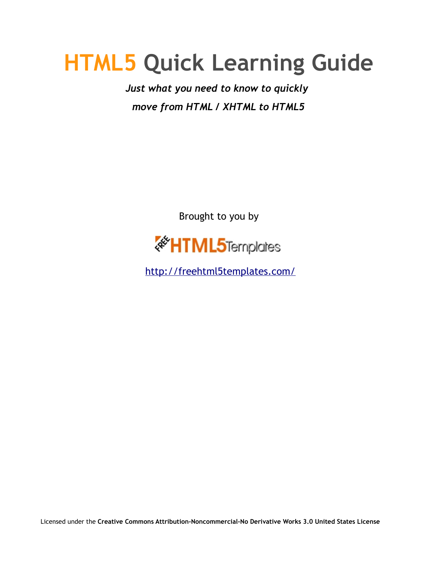## **HTML5 Quick Learning Guide**

*Just what you need to know to quickly move from HTML / XHTML to HTML5*

Brought to you by



<http://freehtml5templates.com/>

Licensed under the **Creative Commons Attribution-Noncommercial-No Derivative Works 3.0 United States License**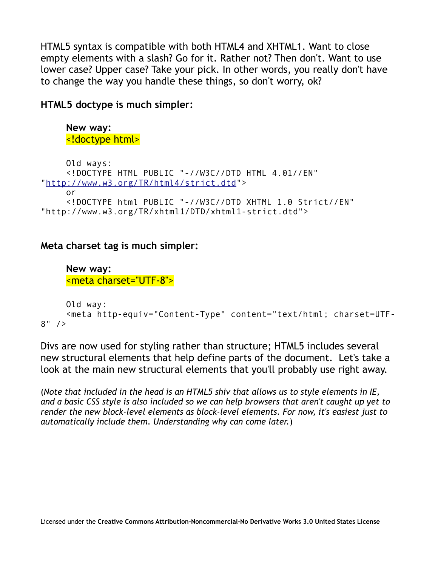HTML5 syntax is compatible with both HTML4 and XHTML1. Want to close empty elements with a slash? Go for it. Rather not? Then don't. Want to use lower case? Upper case? Take your pick. In other words, you really don't have to change the way you handle these things, so don't worry, ok?

**HTML5 doctype is much simpler:** 

```
New way:
<!doctype html>
```

```
Old ways: 
    <!DOCTYPE HTML PUBLIC "-//W3C//DTD HTML 4.01//EN"
"http://www.w3.org/TR/html4/strict.dtd"> 
    or 
     <!DOCTYPE html PUBLIC "-//W3C//DTD XHTML 1.0 Strict//EN"
"http://www.w3.org/TR/xhtml1/DTD/xhtml1-strict.dtd">
```
## **Meta charset tag is much simpler:**

**New way:** <meta charset="UTF-8">

```
Old way:
     <meta http-equiv="Content-Type" content="text/html; charset=UTF-
8" />
```
Divs are now used for styling rather than structure; HTML5 includes several new structural elements that help define parts of the document. Let's take a look at the main new structural elements that you'll probably use right away.

(*Note that included in the head is an HTML5 shiv that allows us to style elements in IE, and a basic CSS style is also included so we can help browsers that aren't caught up yet to render the new block-level elements as block-level elements. For now, it's easiest just to automatically include them. Understanding why can come later.*)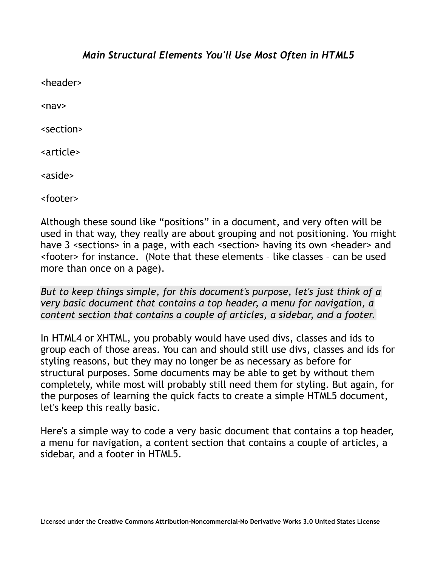## *Main Structural Elements You'll Use Most Often in HTML5*

<header>

 $<sub>nav</sub>$ </sub>

<section>

<article>

<aside>

<footer>

Although these sound like "positions" in a document, and very often will be used in that way, they really are about grouping and not positioning. You might have 3 <sections> in a page, with each <section> having its own <header> and <footer> for instance. (Note that these elements – like classes – can be used more than once on a page).

*But to keep things simple, for this document's purpose, let's just think of a very basic document that contains a top header, a menu for navigation, a content section that contains a couple of articles, a sidebar, and a footer.*

In HTML4 or XHTML, you probably would have used divs, classes and ids to group each of those areas. You can and should still use divs, classes and ids for styling reasons, but they may no longer be as necessary as before for structural purposes. Some documents may be able to get by without them completely, while most will probably still need them for styling. But again, for the purposes of learning the quick facts to create a simple HTML5 document, let's keep this really basic.

Here's a simple way to code a very basic document that contains a top header, a menu for navigation, a content section that contains a couple of articles, a sidebar, and a footer in HTML5.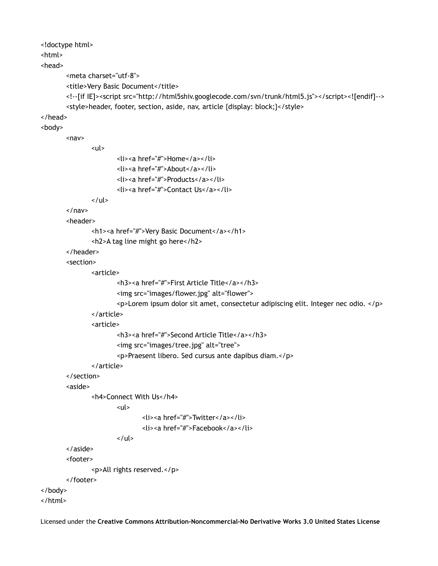<!doctype html> <html> <head> <meta charset="utf-8"> <title>Very Basic Document</title> <!--[if IE]><script src="http://html5shiv.googlecode.com/svn/trunk/html5.js"></script><![endif]--> <style>header, footer, section, aside, nav, article {display: block;}</style> </head> <body>  $<sub>nav</sub>$ </sub> <ul> <li><a href="#">Home</a></li> <li><a href="#">About</a></li> <li><a href="#">Products</a></li> <li><a href="#">Contact Us</a></li>  $\langle$ /ul> </nav> <header> <h1><a href="#">Very Basic Document</a></h1> <h2>A tag line might go here</h2> </header> <section> <article> <h3><a href="#">First Article Title</a></h3> <img src="images/flower.jpg" alt="flower"> <p>Lorem ipsum dolor sit amet, consectetur adipiscing elit. Integer nec odio. </p> </article> <article> <h3><a href="#">Second Article Title</a></h3> <img src="images/tree.jpg" alt="tree"> <p>Praesent libero. Sed cursus ante dapibus diam.</p> </article> </section> <aside> <h4>Connect With Us</h4>  $\langle$ ul> <li><a href="#">Twitter</a></li> <li><a href="#">Facebook</a></li>  $\langle$ /ul> </aside> <footer> <p>All rights reserved.</p> </footer> </body> </html>

Licensed under the **Creative Commons Attribution-Noncommercial-No Derivative Works 3.0 United States License**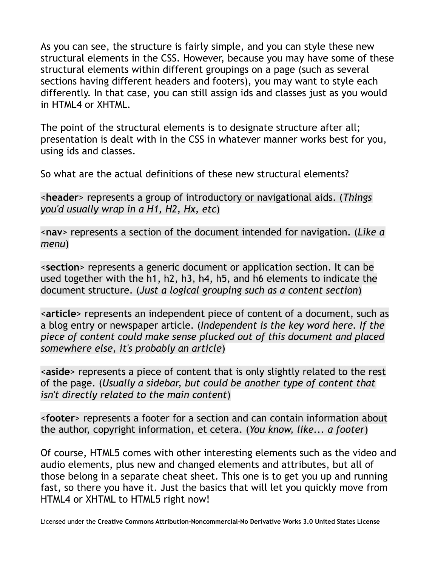As you can see, the structure is fairly simple, and you can style these new structural elements in the CSS. However, because you may have some of these structural elements within different groupings on a page (such as several sections having different headers and footers), you may want to style each differently. In that case, you can still assign ids and classes just as you would in HTML4 or XHTML.

The point of the structural elements is to designate structure after all; presentation is dealt with in the CSS in whatever manner works best for you, using ids and classes.

So what are the actual definitions of these new structural elements?

<**header**> represents a group of introductory or navigational aids. (*Things you'd usually wrap in a H1, H2, Hx, etc*)

<**nav**> represents a section of the document intended for navigation. (*Like a menu*)

<**section**> represents a generic document or application section. It can be used together with the h1, h2, h3, h4, h5, and h6 elements to indicate the document structure. (*Just a logical grouping such as a content section*)

<**article**> represents an independent piece of content of a document, such as a blog entry or newspaper article. (*Independent is the key word here. If the piece of content could make sense plucked out of this document and placed somewhere else, it's probably an article*)

<**aside**> represents a piece of content that is only slightly related to the rest of the page. (*Usually a sidebar, but could be another type of content that isn't directly related to the main content*)

<**footer**> represents a footer for a section and can contain information about the author, copyright information, et cetera. (*You know, like... a footer*)

Of course, HTML5 comes with other interesting elements such as the video and audio elements, plus new and changed elements and attributes, but all of those belong in a separate cheat sheet. This one is to get you up and running fast, so there you have it. Just the basics that will let you quickly move from HTML4 or XHTML to HTML5 right now!